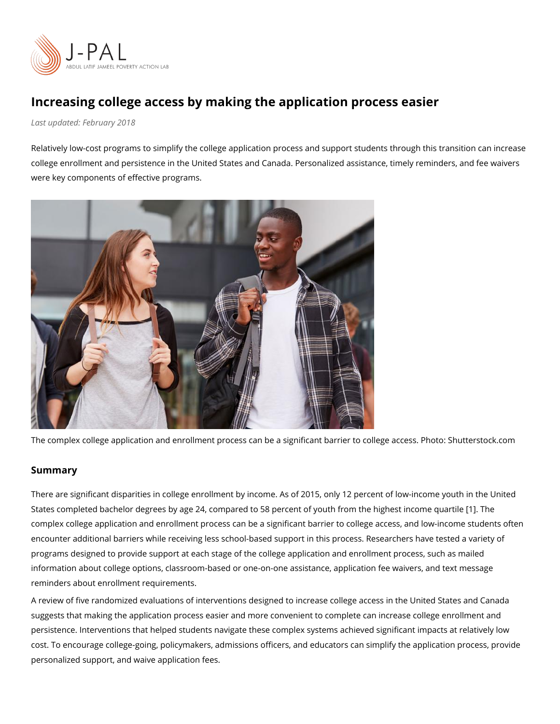Increasing college access by making the application process Last updaFteebdruary 2018

Relatively low-cost programs to simplify the college application process and support assetud college enrollment and persistence in the United States and Canada. Personalized assista were key components of effective programs.

The complex college application and enrollment process can be a significant barrier to co

## Summary

There are significant disparities in college enrollment by income. As of 2015, only 12 per States completed bachelor degrees by age 24, compared to 58 percent of [yo](#page-4-0)uth from the highest income the highest complex college application and enrollment process can be a significant barrier to college encounter additional barriers while receiving less school-based support in this process. Researchers have test programs designed to provide support at each stage of the college application and enrollr information about college options, classroom-based or one-on-one assistance, application reminders about enrollment requirements.

[A review of five randomize](https://www.povertyactionlab.org/publication/simplifying-barriers-along-bridge-college)d o evantue a ties must ons designed to increase college access in the Unit suggests that making the application process easier and more convenient to complete can persistence. Interventions that helped students navigate these complex systems achieved cost. To encourage college-going, policymakers, admissions officers, and educators can s personalized support, and waive application fees.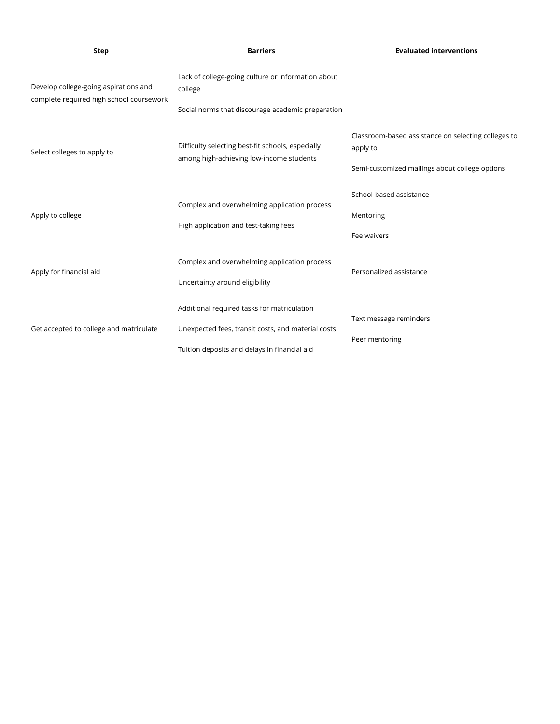| <b>Step</b>                                                                       | <b>Barriers</b>                                                                               | <b>Evaluated interventions</b>                                  |
|-----------------------------------------------------------------------------------|-----------------------------------------------------------------------------------------------|-----------------------------------------------------------------|
| Develop college-going aspirations and<br>complete required high school coursework | Lack of college-going culture or information about<br>college                                 |                                                                 |
|                                                                                   | Social norms that discourage academic preparation                                             |                                                                 |
| Select colleges to apply to                                                       | Difficulty selecting best-fit schools, especially<br>among high-achieving low-income students | Classroom-based assistance on selecting colleges to<br>apply to |
|                                                                                   |                                                                                               | Semi-customized mailings about college options                  |
| Apply to college                                                                  | Complex and overwhelming application process<br>High application and test-taking fees         | School-based assistance                                         |
|                                                                                   |                                                                                               | Mentoring                                                       |
|                                                                                   |                                                                                               | Fee waivers                                                     |
| Apply for financial aid                                                           | Complex and overwhelming application process                                                  | Personalized assistance                                         |
|                                                                                   | Uncertainty around eligibility                                                                |                                                                 |
| Get accepted to college and matriculate                                           | Additional required tasks for matriculation                                                   |                                                                 |
|                                                                                   | Unexpected fees, transit costs, and material costs                                            | Text message reminders                                          |
|                                                                                   | Tuition deposits and delays in financial aid                                                  | Peer mentoring                                                  |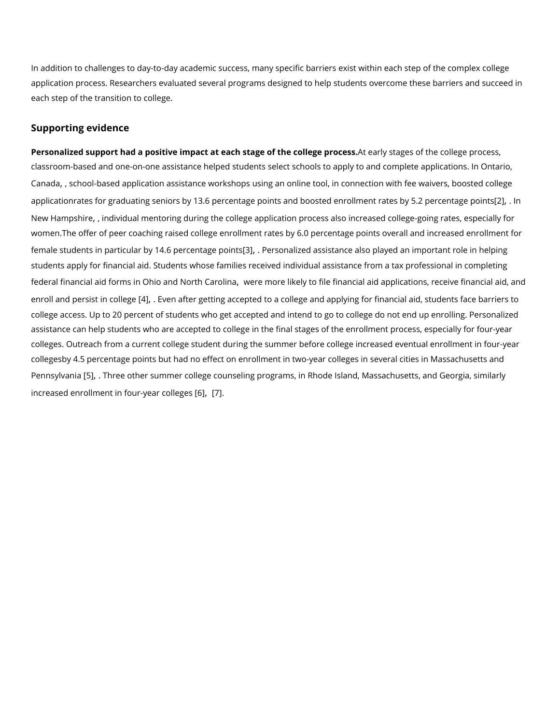In addition to challenges to day-to-day academic success, many specific barriers exist wi application process. Researchers evaluated several programs designed to help students o each step of the transition to college.

## Supporting evidence

Personalized support had a positive impact at each stagest or efathe set ald e geop to the college process. classroom-based and one-on-one assistance helped students select schools to natappiloy, to ar [Cana](https://www.povertyactionlab.org/evaluation/customized-school-workshops-and-fee-waivers-boost-college-applications)daschool-based application assistance workshops using an online tool[,](https://www.povertyactionlab.org/evaluation/customized-school-workshops-and-fee-waivers-boost-college-applications) in connection applicationrates for graduating seniors by 13.6 percentage points and boosted [e2n] rollnment [New Hamps](https://www.povertyactionlab.org/evaluation/case-college-coaching-united-states)hiredividual mentoring during the college application process also increased co women.The offer of peer coaching raised college enrollment rates by 6.0 percentage point female students in particular by 14.663pe Poeenstoangeelipe on tassistance also played an important students apply for financial aid. Students whose families received individual assistance f federal financial ai**o hico mas din North Cave ten anore** likely to file financial aid applications[,](https://www.povertyactionlab.org/evaluation/role-application-assistance-and-information-college-decisions-results-hr-block-fafsa) re enroll and persist [\[4](#page-4-0)] collegeafter getting accepted to a college and applying for financial college access. Up to 20 percent of students who get accepted and intend to go to college assistance can help students who are accepted to college in the final stages of the enroll colleges. Outreach from a current college student during the summer before college incre collegesby 4.5 percentage points but had no effect on enrollment in two-year colleges in Pennsylv&5), .a Three other summer college counseling programs, in Rhode Isl[an](#page-5-0)d[,](#page-5-0) Massachu incr[ea](#page-5-0)sed enrollment in four[ $-6$ ]  $\sqrt{a}$   $\pi$  colleges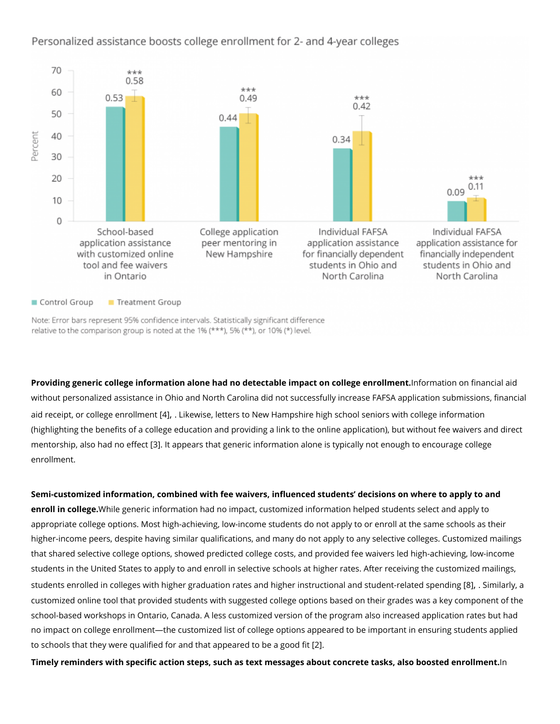Providing generic college information alone had no detectable imIpnafot nonatico college finana modilante; without personalized assistance in Ohio and North Carolina did not successfully increase aid receipt, or college [\[4](#page-4-0)] r loil kew inste[,](#page-4-0) letters to New Hampshire high school seniors with col (highlighting the benefits of a college education and providing a link to the online application), the mass mentorship, also had 3 3 olde the petears that generic information alone is typically not enough to enrollment.

Semi-customized information, combined with fee waivers, influenced students decisions o enroll in collegibe generic information had no impact, customized information helped stude appropriate college options. Most high-achieving, low-income students do not apply to or higher-income peers, despite having similar qualifications, and many do not apply to any that shared selective college options, showed predicted college costs, and provided fee w students in the United States to apply to and enroll in selective schools at higher rates. A students enrolled in colleges with higher graduation rates and higher instr&ulctBoinmail aarnhyd[,](#page-5-0) sat customized online tool that provided students with suggested college options based on th school-based workshops in Ontario, Canada. A less customized version of the program als no impact on college enrollment the customized list of college options appeared to be imp to schools that they were qualified for [a](#page-4-0)nd that [\[2](#page-4-0)2p] peared to be a good fit Timely reminders with specific action steps, such as text messages about concreme tasks,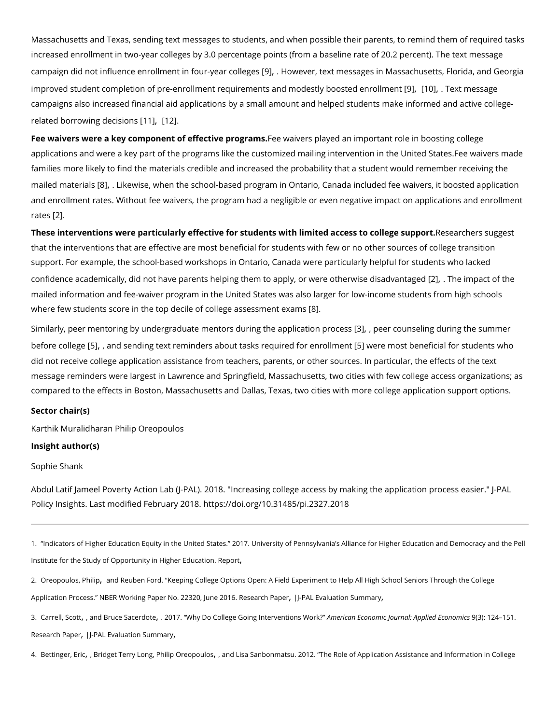<span id="page-4-0"></span>Massachusetts and Texas, sending text messages to students, and when possible their pa increased enrollment in two-year colleges by 3.0 percentage points (from a baseline rate campaign did not [in](#page-5-0)fluence enrollment ing  $\mathbb J$  o Hove aer colleagensessages in Massachusetts[,](#page-5-0) Flo improved student completion of pre-enrollment requirements and 9th [oldQe].stTley xb ono estes digeenrolln campaigns also increased financial aid applications by a small amount and helped student related borrowing  $\phi \triangleleft \mathbf{1}$  [,](#page-5-0)  $\phi$ 

Fee waivers were a key component of effecetiwe aipyreorgs polymasy.ed an important role in boosting applications and were a key part of the programs like the customized mailing intervention families more likely to find the materials credible and increased the probability that a stu mailed mateßialsikewise[,](#page-5-0) when the school-based program in Ontario, Canada included fee and enrollment rates. Without fee waivers, the program had a negligible or even negative rates $2$ .

These interventions were particularly effective for students with limireeds a accers are so suggless that the interventions that are effective are most beneficial for students with few or no of support. For example, the school-based workshops in Ontario, Canada were particularly h confidence academically, did not have parents helping them to apply?] or twe rienpare travfistened mailed information and fee-waiver program in the United States was also larger for low-in where few students score in the top decile of c[ol](#page-5-0)lege assessment exams

Similarly, peer mentoring by undergraduate mentors du (Bng pthe rappoul nosaetlion ng potnoroing sthe sum before col[l&n]geand sending text reminders about tasks re{**qtiweerel froorsetnbrenhemie.** If for student did not receive college application assistance from teachers, parents, or other sources. I message reminders were largest in Lawrence and Springfield, Massachusetts, two cities w compared to the effects in Boston, Massachusetts and Dallas, Texas, two cities with more

Sector chair(s)

[Karthik Murali](https://www.povertyactionlab.org/person/muralidharan)dPhairapn Oreopoulos Insight author(s)

[Sophie S](https://www.povertyactionlab.org/person/shank)hank

Abdul Latif Jameel Poverty Action Lab (J-PAL). 2018. "Increasing college access by makin Policy Insights. Last modified February 2018. https://doi.org/10.31485/pi.2327.2018

1. Indicators of Higher Education Equity in the United States. 2017. University of Pennsylvania s Alliance Institute for the Study of Opportunity in epoter Education.

2. [Oreopoulos,](https://www.povertyactionlab.org/oreopoulos) [,](https://www.povertyactionlab.org/oreopoulos) Panind p Reuben Ford. Keeping College Options Open: A Field Experiment to Help All High Scho Application Process. NBER Working Paper RNesse 202330 @[,](https://www.povertyactionlab.org/evaluation/customized-school-workshops-and-fee-waivers-boost-college-applications) A.H-EPMeL 2ED Viasiluation , Summary

3. [Carrell,](https://www.povertyactionlab.org/carrell) ScanEdruce Sacerd @10e17. Why Do College Going InteAmmuenitoian s Ewoomic Monic Journal: A Sp(p3l)ied 2 E4colo 5 of mics [Research](https://doi.org/10.1257/app.20150530) P[,](https://www.povertyactionlab.org/evaluation/case-college-coaching-united-states) ap-PrAL Evaluation , Summary

4. [Bettinger](https://www.povertyactionlab.org/bettinger)[,](https://www.povertyactionlab.org/oreopoulos) EBircdget Terry hLibim gOreopoudod Lisa Sanbonmatsu. 2012. The Role of Application Assistance and